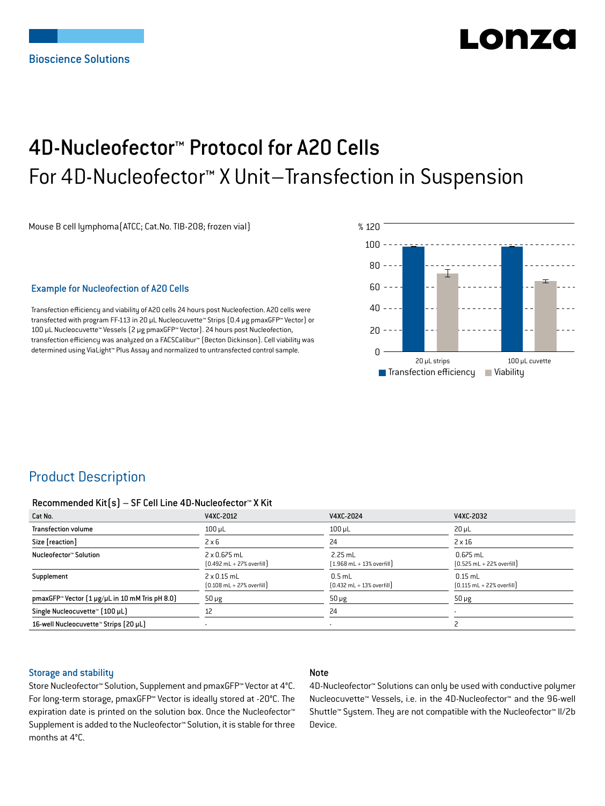# LONZ

## 4D-Nucleofector™ Protocol for A20 Cells For 4D-Nucleofector™ X Unit–Transfection in Suspension

Mouse B cell lymphoma(ATCC; Cat.No. TIB-208; frozen vial)

#### Example for Nucleofection of A20 Cells

Transfection efficiency and viability of A20 cells 24 hours post Nucleofection. A20 cells were transfected with program FF-113 in 20 µL Nucleocuvette™ Strips (0.4 μg pmaxGFP™ Vector) or 100 µL Nucleocuvette™ Vessels (2 μg pmaxGFP™ Vector). 24 hours post Nucleofection, transfection efficiency was analyzed on a FACSCalibur™ (Becton Dickinson). Cell viability was determined using ViaLight™ Plus Assay and normalized to untransfected control sample.



## Product Description

#### Recommended Kit(s) – SF Cell Line 4D-Nucleofector™ X Kit

| Cat No.                                        | V4XC-2012                                                          | V4XC-2024                                                 | V4XC-2032                                                  |
|------------------------------------------------|--------------------------------------------------------------------|-----------------------------------------------------------|------------------------------------------------------------|
| <b>Transfection volume</b>                     | $100$ $\mu$ L                                                      | $100$ µL                                                  | $20 \mu L$                                                 |
| Size [reaction]                                | $2 \times 6$                                                       | 24                                                        | $2 \times 16$                                              |
| Nucleofector™ Solution                         | 2 x 0.675 mL<br>$[0.492 \text{ mL} + 27\% \text{ overfill}]$       | $2.25$ mL<br>$(1.968 \text{ mL} + 13\% \text{ overfill})$ | $0.675$ mL<br>$[0.525 \text{ mL} + 22\% \text{ overfill}]$ |
| Supplement                                     | $2 \times 0.15$ mL<br>$[0.108 \text{ mL} + 27\% \text{ overfill}]$ | $0.5$ mL<br>$[0.432 \text{ mL} + 13\% \text{ overfill}]$  | $0.15$ mL<br>$[0.115 \text{ mL} + 22\% \text{ overfill}]$  |
| pmaxGFP™ Vector (1 µg/µL in 10 mM Tris pH 8.0) | $50 \mu g$                                                         | $50 \mu g$                                                | $50 \mu g$                                                 |
| Single Nucleocuvette™ (100 µL)                 | 12                                                                 | 24                                                        |                                                            |
| 16-well Nucleocuvette™ Strips (20 µL)          |                                                                    | ۰                                                         |                                                            |

#### Storage and stability

#### Note

Store Nucleofector™ Solution, Supplement and pmaxGFP™ Vector at 4°C. For long-term storage, pmaxGFP™ Vector is ideally stored at -20°C. The expiration date is printed on the solution box. Once the Nucleofector™ Supplement is added to the Nucleofector™ Solution, it is stable for three months at 4°C.

4D-Nucleofector™ Solutions can only be used with conductive polymer Nucleocuvette™ Vessels, i.e. in the 4D-Nucleofector™ and the 96-well Shuttle™ System. They are not compatible with the Nucleofector™ II/2b Device.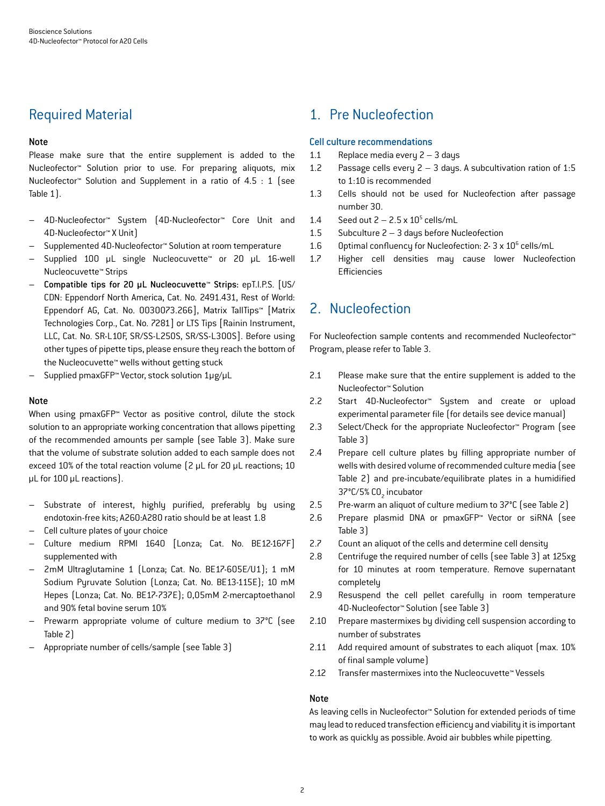## Required Material

#### Note

Please make sure that the entire supplement is added to the Nucleofector™ Solution prior to use. For preparing aliquots, mix Nucleofector™ Solution and Supplement in a ratio of 4.5 : 1 (see Table 1).

- 4D-Nucleofector™ System (4D-Nucleofector™ Core Unit and 4D-Nucleofector™ X Unit)
- Supplemented 4D-Nucleofector™ Solution at room temperature
- Supplied 100 µL single Nucleocuvette™ or 20 µL 16-well Nucleocuvette™ Strips
- Compatible tips for 20 µL Nucleocuvette™ Strips: epT.I.P.S. [US/ CDN: Eppendorf North America, Cat. No. 2491.431, Rest of World: Eppendorf AG, Cat. No. 0030073.266], Matrix TallTips™ [Matrix Technologies Corp., Cat. No. 7281] or LTS Tips [Rainin Instrument, LLC, Cat. No. SR-L10F, SR/SS-L250S, SR/SS-L300S]. Before using other types of pipette tips, please ensure they reach the bottom of the Nucleocuvette™ wells without getting stuck
- Supplied pmaxGFP™ Vector, stock solution 1μg/µL

#### Note

When using pmaxGFP™ Vector as positive control, dilute the stock solution to an appropriate working concentration that allows pipetting of the recommended amounts per sample (see Table 3). Make sure that the volume of substrate solution added to each sample does not exceed 10% of the total reaction volume (2 µL for 20 µL reactions; 10 µL for 100 µL reactions).

- Substrate of interest, highly purified, preferably by using endotoxin-free kits; A260:A280 ratio should be at least 1.8
- Cell culture plates of your choice
- Culture medium RPMI 1640 [Lonza; Cat. No. BE12-167F] supplemented with
- 2mM Ultraglutamine 1 (Lonza; Cat. No. BE17-605E/U1); 1 mM Sodium Pyruvate Solution (Lonza; Cat. No. BE13-115E); 10 mM Hepes (Lonza; Cat. No. BE17-737E); 0,05mM 2-mercaptoethanol and 90% fetal bovine serum 10%
- Prewarm appropriate volume of culture medium to 37°C (see Table 2)
- Appropriate number of cells/sample (see Table 3)

## 1. Pre Nucleofection

#### Cell culture recommendations

- 1.1 Replace media every 2 3 days
- 1.2 Passage cells every 2 3 days. A subcultivation ration of 1:5 to 1:10 is recommended
- 1.3 Cells should not be used for Nucleofection after passage number 30.
- 1.4 Seed out  $2 2.5 \times 10^5$  cells/mL
- 1.5 Subculture 2 3 days before Nucleofection
- 1.6 Optimal confluency for Nucleofection: 2- 3 x 10<sup>6</sup> cells/mL
- 1.7 Higher cell densities may cause lower Nucleofection Efficiencies

## 2. Nucleofection

For Nucleofection sample contents and recommended Nucleofector™ Program, please refer to Table 3.

- 2.1 Please make sure that the entire supplement is added to the Nucleofector™ Solution
- 2.2 Start 4D-Nucleofector™ System and create or upload experimental parameter file (for details see device manual)
- 2.3 Select/Check for the appropriate Nucleofector™ Program (see Table 3)
- 2.4 Prepare cell culture plates by filling appropriate number of wells with desired volume of recommended culture media (see Table 2) and pre-incubate/equilibrate plates in a humidified 37°C/5% CO<sub>2</sub> incubator
- 2.5 Pre-warm an aliquot of culture medium to 37°C (see Table 2)
- 2.6 Prepare plasmid DNA or pmaxGFP™ Vector or siRNA (see Table 3)
- 2.7 Count an aliquot of the cells and determine cell density
- 2.8 Centrifuge the required number of cells (see Table 3) at 125xg for 10 minutes at room temperature. Remove supernatant completely
- 2.9 Resuspend the cell pellet carefully in room temperature 4D-Nucleofector™ Solution (see Table 3)
- 2.10 Prepare mastermixes by dividing cell suspension according to number of substrates
- 2.11 Add required amount of substrates to each aliquot (max. 10% of final sample volume)
- 2.12 Transfer mastermixes into the Nucleocuvette™ Vessels

#### Note

As leaving cells in Nucleofector™ Solution for extended periods of time may lead to reduced transfection efficiency and viability it is important to work as quickly as possible. Avoid air bubbles while pipetting.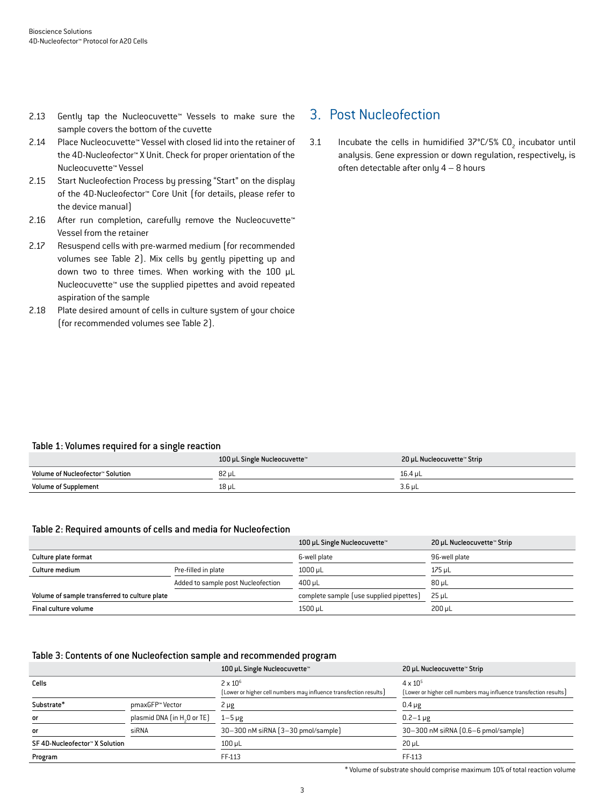- 2.13 Gently tap the Nucleocuvette™ Vessels to make sure the sample covers the bottom of the cuvette
- 2.14 Place Nucleocuvette™ Vessel with closed lid into the retainer of the 4D-Nucleofector™ X Unit. Check for proper orientation of the Nucleocuvette™ Vessel
- 2.15 Start Nucleofection Process by pressing "Start" on the display of the 4D-Nucleofector™ Core Unit (for details, please refer to the device manual)
- 2.16 After run completion, carefully remove the Nucleocuvette™ Vessel from the retainer
- 2.17 Resuspend cells with pre-warmed medium (for recommended volumes see Table 2). Mix cells by gently pipetting up and down two to three times. When working with the 100 µL Nucleocuvette™ use the supplied pipettes and avoid repeated aspiration of the sample
- 2.18 Plate desired amount of cells in culture system of your choice (for recommended volumes see Table 2).

## 3. Post Nucleofection

3.1 Incubate the cells in humidified  $37^{\circ}$ C/5% CO<sub>2</sub> incubator until analysis. Gene expression or down regulation, respectively, is often detectable after only 4 – 8 hours

#### Table 1: Volumes required for a single reaction

|                                  | 100 µL Single Nucleocuvette™ | 20 µL Nucleocuvette™ Strip |
|----------------------------------|------------------------------|----------------------------|
| Volume of Nucleofector™ Solution | 82 µL                        | 16.4 uL                    |
| <b>Volume of Supplement</b>      | 18 µL                        | $3.6 \mu L$                |

#### Table 2: Required amounts of cells and media for Nucleofection

|                                               |                                    | 100 µL Single Nucleocuvette™            | 20 µL Nucleocuvette™ Strip |
|-----------------------------------------------|------------------------------------|-----------------------------------------|----------------------------|
| Culture plate format                          |                                    | 6-well plate                            | 96-well plate              |
| Culture medium                                | Pre-filled in plate                | $1000 \mu L$                            | 175 uL                     |
|                                               | Added to sample post Nucleofection | $400 \mu L$                             | $80 \mu L$                 |
| Volume of sample transferred to culture plate |                                    | complete sample (use supplied pipettes) | 25 uL                      |
| Final culture volume                          |                                    | 1500 µL                                 | $200 \mu L$                |

#### Table 3: Contents of one Nucleofection sample and recommended program

|                                |                                         | 100 µL Single Nucleocuvette™                                                         | 20 µL Nucleocuvette™ Strip                                                             |
|--------------------------------|-----------------------------------------|--------------------------------------------------------------------------------------|----------------------------------------------------------------------------------------|
| Cells                          |                                         | $2 \times 10^6$<br>[Lower or higher cell numbers may influence transfection results] | $4 \times 10^{5}$<br>[Lower or higher cell numbers may influence transfection results] |
| Substrate*                     | pmaxGFP™ Vector                         | $2 \mu g$                                                                            | $0.4 \mu g$                                                                            |
| or                             | plasmid DNA (in H <sub>2</sub> O or TE) | $1 - 5 \mu g$                                                                        | $0.2 - 1 \,\mu g$                                                                      |
| or                             | siRNA                                   | 30-300 nM siRNA (3-30 pmol/sample)                                                   | 30-300 nM siRNA (0.6-6 pmol/sample)                                                    |
| SF 4D-Nucleofector™ X Solution |                                         | $100 \mu L$                                                                          | $20 \mu L$                                                                             |
| Program                        |                                         | FF-113                                                                               | FF-113                                                                                 |

\* Volume of substrate should comprise maximum 10% of total reaction volume